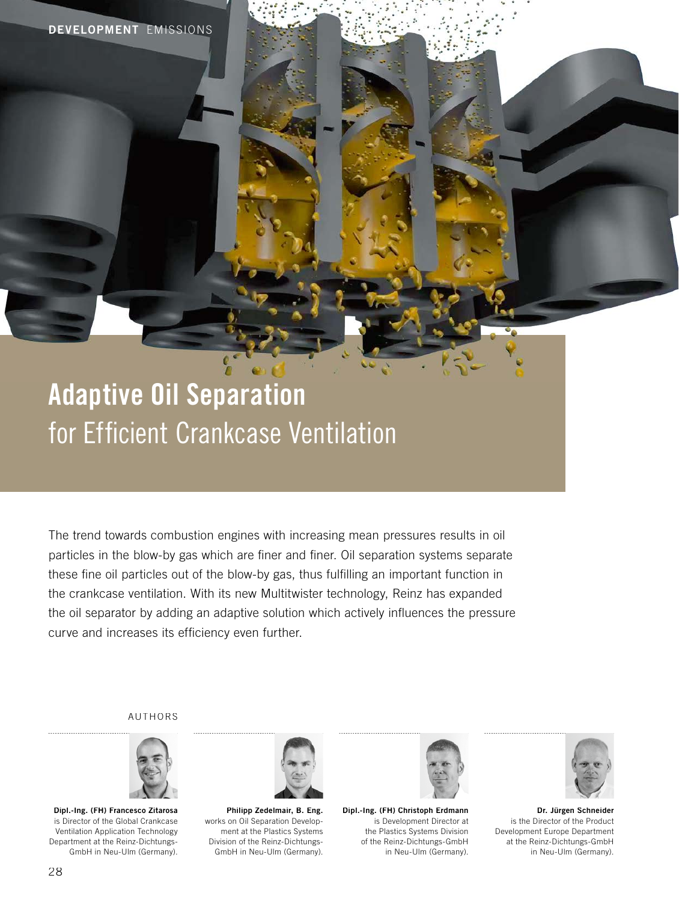# Adaptive Oil Separation for Efficient Crankcase Ventilation

The trend towards combustion engines with increasing mean pressures results in oil particles in the blow-by gas which are finer and finer. Oil separation systems separate these fine oil particles out of the blow-by gas, thus fulfilling an important function in the crankcase ventilation. With its new Multitwister technology, Reinz has expanded the oil separator by adding an adaptive solution which actively influences the pressure curve and increases its efficiency even further.

AUTHORS



Dipl.-Ing. (FH) Francesco Zitarosa is Director of the Global Crankcase Ventilation Application Technology Department at the Reinz-Dichtungs-GmbH in Neu-Ulm (Germany).



Philipp Zedelmair, B. Eng. works on Oil Separation Development at the Plastics Systems Division of the Reinz-Dichtungs-GmbH in Neu-Ulm (Germany).



Dipl.-Ing. (FH) Christoph Erdmann is Development Director at the Plastics Systems Division of the Reinz-Dichtungs-GmbH in Neu-Ulm (Germany).



Dr. Jürgen Schneider is the Director of the Product Development Europe Department at the Reinz-Dichtungs-GmbH in Neu-Ulm (Germany).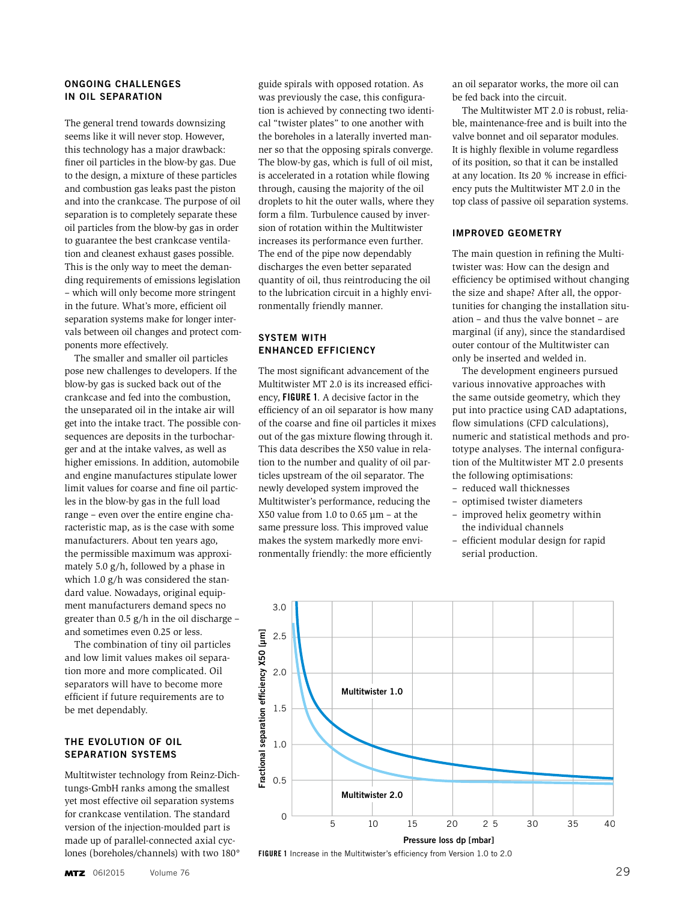### ONGOING CHALLENGES IN OIL SEPARATION

The general trend towards downsizing seems like it will never stop. However, this technology has a major drawback: finer oil particles in the blow-by gas. Due to the design, a mixture of these particles and combustion gas leaks past the piston and into the crankcase. The purpose of oil separation is to completely separate these oil particles from the blow-by gas in order to guarantee the best crankcase ventilation and cleanest exhaust gases possible. This is the only way to meet the demanding requirements of emissions legislation – which will only become more stringent in the future. What's more, efficient oil separation systems make for longer intervals between oil changes and protect components more effectively.

The smaller and smaller oil particles pose new challenges to developers. If the blow-by gas is sucked back out of the crankcase and fed into the combustion, the unseparated oil in the intake air will get into the intake tract. The possible consequences are deposits in the turbocharger and at the intake valves, as well as higher emissions. In addition, automobile and engine manufactures stipulate lower limit values for coarse and fine oil particles in the blow-by gas in the full load range – even over the entire engine characteristic map, as is the case with some manufacturers. About ten years ago, the permissible maximum was approximately 5.0 g/h, followed by a phase in which 1.0 g/h was considered the standard value. Nowadays, original equipment manufacturers demand specs no greater than 0.5 g/h in the oil discharge – and sometimes even 0.25 or less.

The combination of tiny oil particles and low limit values makes oil separation more and more complicated. Oil separators will have to become more efficient if future requirements are to be met dependably.

# THE EVOLUTION OF OIL SEPARATION SYSTEMS

Multitwister technology from Reinz-Dichtungs-GmbH ranks among the smallest yet most effective oil separation systems for crankcase ventilation. The standard version of the injection-moulded part is made up of parallel-connected axial cyclones (boreholes/channels) with two 180°

06I2015 Volume 76 29

guide spirals with opposed rotation. As was previously the case, this configuration is achieved by connecting two identical "twister plates" to one another with the boreholes in a laterally inverted manner so that the opposing spirals converge. The blow-by gas, which is full of oil mist, is accelerated in a rotation while flowing through, causing the majority of the oil droplets to hit the outer walls, where they form a film. Turbulence caused by inversion of rotation within the Multitwister increases its performance even further. The end of the pipe now dependably discharges the even better separated quantity of oil, thus reintroducing the oil to the lubrication circuit in a highly environmentally friendly manner.

# SYSTEM WITH ENHANCED EFFICIENCY

The most significant advancement of the Multitwister MT 2.0 is its increased efficiency, FIGURE 1. A decisive factor in the efficiency of an oil separator is how many of the coarse and fine oil particles it mixes out of the gas mixture flowing through it. This data describes the X50 value in relation to the number and quality of oil particles upstream of the oil separator. The newly developed system improved the Multitwister's performance, reducing the  $X50$  value from 1.0 to 0.65  $\mu$ m – at the same pressure loss. This improved value makes the system markedly more environmentally friendly: the more efficiently

an oil separator works, the more oil can be fed back into the circuit.

The Multitwister MT 2.0 is robust, reliable, maintenance-free and is built into the valve bonnet and oil separator modules. It is highly flexible in volume regardless of its position, so that it can be installed at any location. Its 20 % increase in efficiency puts the Multitwister MT 2.0 in the top class of passive oil separation systems.

## IMPROVED GEOMETRY

The main question in refining the Multitwister was: How can the design and efficiency be optimised without changing the size and shape? After all, the opportunities for changing the installation situation – and thus the valve bonnet – are marginal (if any), since the standardised outer contour of the Multitwister can only be inserted and welded in.

The development engineers pursued various innovative approaches with the same outside geometry, which they put into practice using CAD adaptations, flow simulations (CFD calculations), numeric and statistical methods and prototype analyses. The internal configuration of the Multitwister MT 2.0 presents the following optimisations:

- reduced wall thicknesses
- optimised twister diameters
- improved helix geometry within the individual channels
- efficient modular design for rapid serial production.



FIGURE 1 Increase in the Multitwister's efficiency from Version 1.0 to 2.0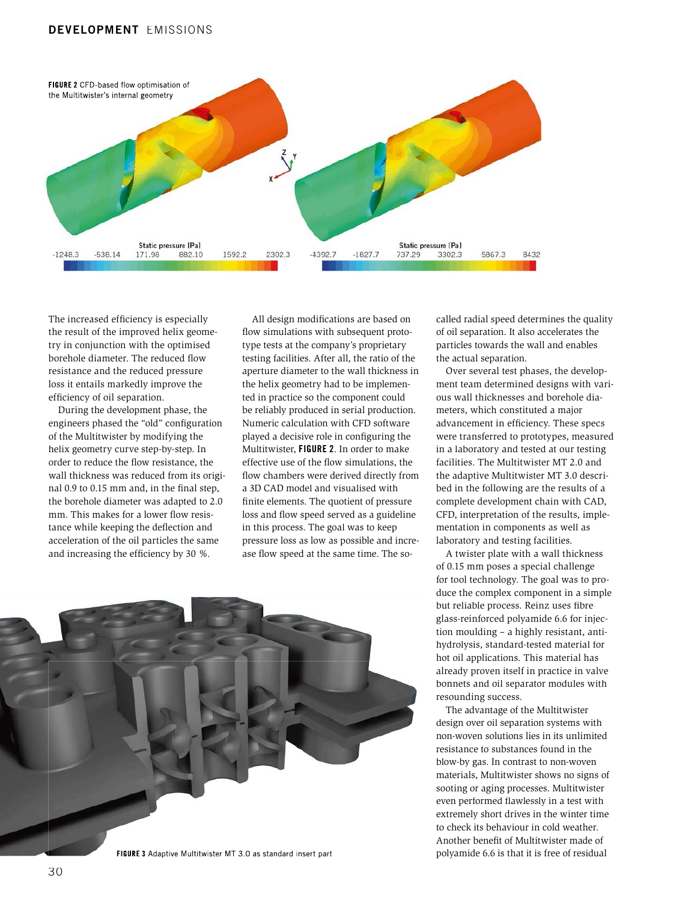

The increased efficiency is especially the result of the improved helix geometry in conjunction with the optimised borehole diameter. The reduced flow resistance and the reduced pressure loss it entails markedly improve the efficiency of oil separation.

During the development phase, the engineers phased the "old" configuration of the Multitwister by modifying the helix geometry curve step-by-step. In order to reduce the flow resistance, the wall thickness was reduced from its original 0.9 to 0.15 mm and, in the final step, the borehole diameter was adapted to 2.0 mm. This makes for a lower flow resistance while keeping the deflection and acceleration of the oil particles the same and increasing the efficiency by 30 %.

All design modifications are based on flow simulations with subsequent prototype tests at the company's proprietary testing facilities. After all, the ratio of the aperture diameter to the wall thickness in the helix geometry had to be implemented in practice so the component could be reliably produced in serial production. Numeric calculation with CFD software played a decisive role in configuring the Multitwister, FIGURE 2. In order to make effective use of the flow simulations, the flow chambers were derived directly from a 3D CAD model and visualised with finite elements. The quotient of pressure loss and flow speed served as a guideline in this process. The goal was to keep pressure loss as low as possible and increase flow speed at the same time. The so-



called radial speed determines the quality of oil separation. It also accelerates the particles towards the wall and enables the actual separation.

Over several test phases, the development team determined designs with various wall thicknesses and borehole diameters, which constituted a major advancement in efficiency. These specs were transferred to prototypes, measured in a laboratory and tested at our testing facilities. The Multitwister MT 2.0 and the adaptive Multitwister MT 3.0 described in the following are the results of a complete development chain with CAD, CFD, interpretation of the results, implementation in components as well as laboratory and testing facilities.

A twister plate with a wall thickness of 0.15 mm poses a special challenge for tool technology. The goal was to produce the complex component in a simple but reliable process. Reinz uses fibreglass-reinforced polyamide 6.6 for injection moulding – a highly resistant, antihydrolysis, standard-tested material for hot oil applications. This material has already proven itself in practice in valve bonnets and oil separator modules with resounding success.

The advantage of the Multitwister design over oil separation systems with non-woven solutions lies in its unlimited resistance to substances found in the blow-by gas. In contrast to non-woven materials, Multitwister shows no signs of sooting or aging processes. Multitwister even performed flawlessly in a test with extremely short drives in the winter time to check its behaviour in cold weather. Another benefit of Multitwister made of polyamide 6.6 is that it is free of residual